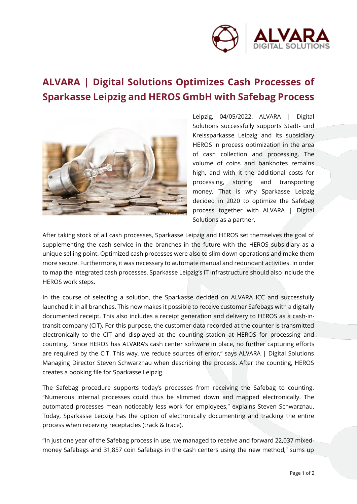

## **ALVARA | Digital Solutions Optimizes Cash Processes of Sparkasse Leipzig and HEROS GmbH with Safebag Process**



Leipzig, 04/05/2022. ALVARA | Digital Solutions successfully supports Stadt- und Kreissparkasse Leipzig and its subsidiary HEROS in process optimization in the area of cash collection and processing. The volume of coins and banknotes remains high, and with it the additional costs for processing, storing and transporting money. That is why Sparkasse Leipzig decided in 2020 to optimize the Safebag process together with ALVARA | Digital Solutions as a partner.

After taking stock of all cash processes, Sparkasse Leipzig and HEROS set themselves the goal of supplementing the cash service in the branches in the future with the HEROS subsidiary as a unique selling point. Optimized cash processes were also to slim down operations and make them more secure. Furthermore, it was necessary to automate manual and redundant activities. In order to map the integrated cash processes, Sparkasse Leipzig's IT infrastructure should also include the HEROS work steps.

In the course of selecting a solution, the Sparkasse decided on ALVARA ICC and successfully launched it in all branches. This now makes it possible to receive customer Safebags with a digitally documented receipt. This also includes a receipt generation and delivery to HEROS as a cash-intransit company (CIT). For this purpose, the customer data recorded at the counter is transmitted electronically to the CIT and displayed at the counting station at HEROS for processing and counting. "Since HEROS has ALVARA's cash center software in place, no further capturing efforts are required by the CIT. This way, we reduce sources of error," says ALVARA | Digital Solutions Managing Director Steven Schwarznau when describing the process. After the counting, HEROS creates a booking file for Sparkasse Leipzig.

The Safebag procedure supports today's processes from receiving the Safebag to counting. "Numerous internal processes could thus be slimmed down and mapped electronically. The automated processes mean noticeably less work for employees," explains Steven Schwarznau. Today, Sparkasse Leipzig has the option of electronically documenting and tracking the entire process when receiving receptacles (track & trace).

"In just one year of the Safebag process in use, we managed to receive and forward 22,037 mixedmoney Safebags and 31,857 coin Safebags in the cash centers using the new method," sums up